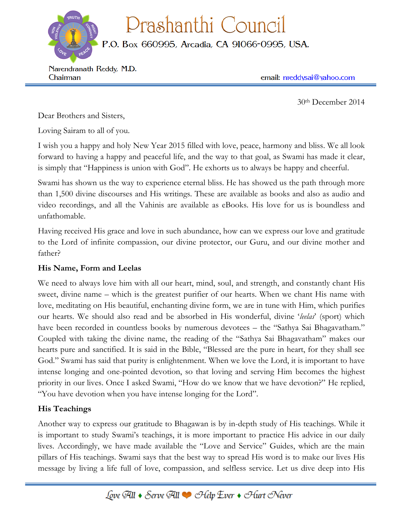Prashanthi Council

P.O. Box 660995, Arcadia, CA 91066-0995, USA.

Narendranath Reddy, M.D. Chairman

email: nreddysai@yahoo.com

30th December 2014

Dear Brothers and Sisters,

Loving Sairam to all of you.

I wish you a happy and holy New Year 2015 filled with love, peace, harmony and bliss. We all look forward to having a happy and peaceful life, and the way to that goal, as Swami has made it clear, is simply that "Happiness is union with God". He exhorts us to always be happy and cheerful.

Swami has shown us the way to experience eternal bliss. He has showed us the path through more than 1,500 divine discourses and His writings. These are available as books and also as audio and video recordings, and all the Vahinis are available as eBooks. His love for us is boundless and unfathomable.

Having received His grace and love in such abundance, how can we express our love and gratitude to the Lord of infinite compassion, our divine protector, our Guru, and our divine mother and father?

## **His Name, Form and Leelas**

We need to always love him with all our heart, mind, soul, and strength, and constantly chant His sweet, divine name – which is the greatest purifier of our hearts. When we chant His name with love, meditating on His beautiful, enchanting divine form, we are in tune with Him, which purifies our hearts. We should also read and be absorbed in His wonderful, divine '*leelas*' (sport) which have been recorded in countless books by numerous devotees – the "Sathya Sai Bhagavatham." Coupled with taking the divine name, the reading of the "Sathya Sai Bhagavatham" makes our hearts pure and sanctified. It is said in the Bible, "Blessed are the pure in heart, for they shall see God." Swami has said that purity is enlightenment. When we love the Lord, it is important to have intense longing and one-pointed devotion, so that loving and serving Him becomes the highest priority in our lives. Once I asked Swami, "How do we know that we have devotion?" He replied, "You have devotion when you have intense longing for the Lord".

## **His Teachings**

Another way to express our gratitude to Bhagawan is by in-depth study of His teachings. While it is important to study Swami's teachings, it is more important to practice His advice in our daily lives. Accordingly, we have made available the "Love and Service" Guides, which are the main pillars of His teachings. Swami says that the best way to spread His word is to make our lives His message by living a life full of love, compassion, and selfless service. Let us dive deep into His